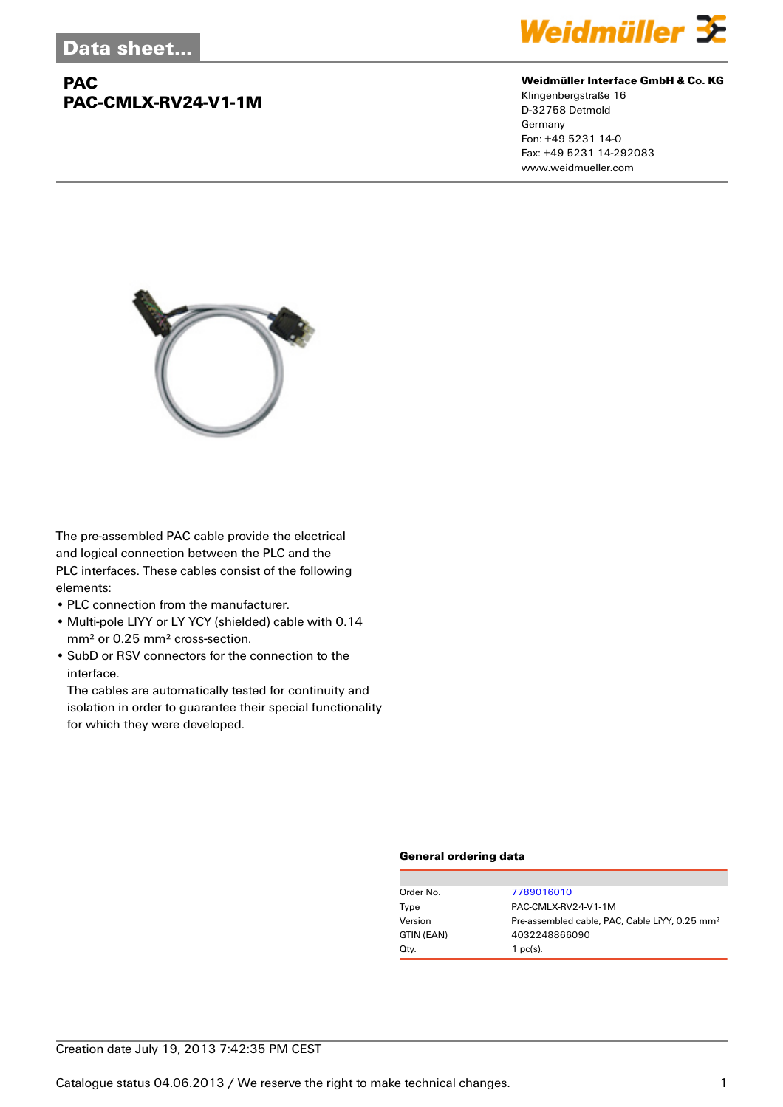## **PAC PAC-CMLX-RV24-V1-1M**



#### **Weidmüller Interface GmbH & Co. KG**

Klingenbergstraße 16 D-32758 Detmold Germany Fon: +49 5231 14-0 Fax: +49 5231 14-292083 www.weidmueller.com



The pre-assembled PAC cable provide the electrical and logical connection between the PLC and the PLC interfaces. These cables consist of the following elements:

- PLC connection from the manufacturer.
- Multi-pole LIYY or LY YCY (shielded) cable with 0.14 mm² or 0.25 mm² cross-section.
- SubD or RSV connectors for the connection to the interface.

The cables are automatically tested for continuity and isolation in order to guarantee their special functionality for which they were developed.

#### **General ordering data**

| Order No.  | 7789016010                                                 |
|------------|------------------------------------------------------------|
| Type       | PAC-CMLX-RV24-V1-1M                                        |
| Version    | Pre-assembled cable, PAC, Cable LiYY, 0.25 mm <sup>2</sup> |
| GTIN (EAN) | 4032248866090                                              |
| Qty.       | $1$ pc(s).                                                 |